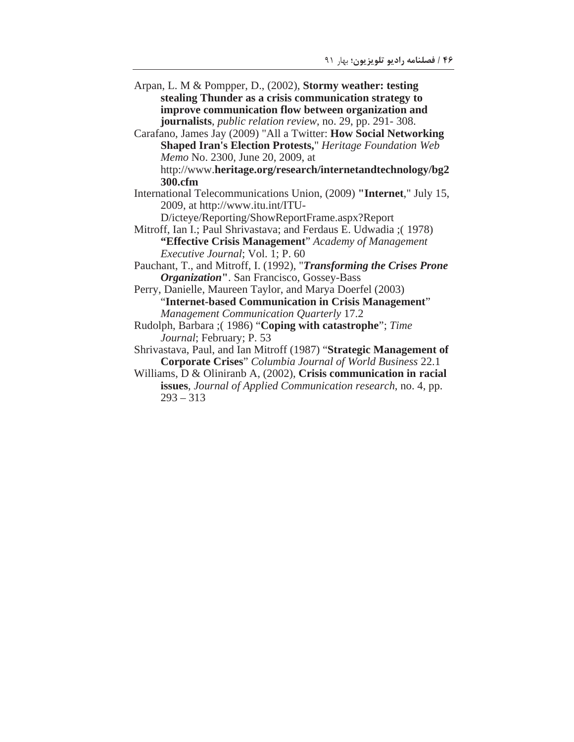- Arpan, L. M & Pompper, D., (2002), Stormy weather: testing stealing Thunder as a crisis communication strategy to improve communication flow between organization and journalists, *public relation review*, no. 29, pp. 291-308.
- Carafano, James Jay (2009) "All a Twitter: How Social Networking **Shaped Iran's Election Protests," Heritage Foundation Web** Memo No. 2300, June 20, 2009, at http://www.heritage.org/research/internetandtechnology/bg2

300.cfm

International Telecommunications Union, (2009) "Internet," July 15, 2009, at http://www.itu.int/ITU-

D/icteye/Reporting/ShowReportFrame.aspx?Report

Mitroff, Ian I.; Paul Shrivastava; and Ferdaus E. Udwadia ; (1978) "Effective Crisis Management" Academy of Management Executive Journal; Vol. 1; P. 60

Pauchant, T., and Mitroff, I. (1992), "*Transforming the Crises Prone* **Organization"**. San Francisco, Gossey-Bass

Perry, Danielle, Maureen Taylor, and Marya Doerfel (2003) "Internet-based Communication in Crisis Management" **Management Communication Quarterly 17.2** 

Rudolph, Barbara ;(1986) "Coping with catastrophe"; Time Journal; February; P. 53

Shrivastava, Paul, and Ian Mitroff (1987) "Strategic Management of **Corporate Crises**" Columbia Journal of World Business 22.1

Williams,  $D \&$  Oliniranb A, (2002), Crisis communication in racial issues, Journal of Applied Communication research, no. 4, pp.  $293 - 313$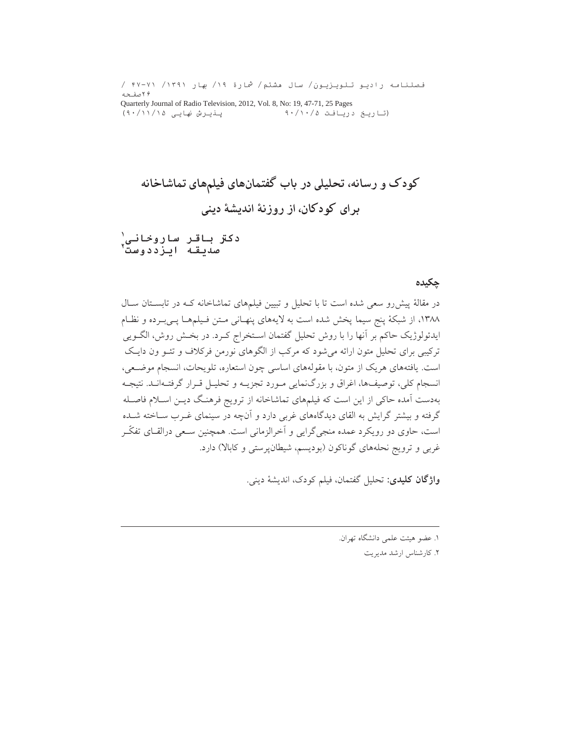فصلنامه رادیو تلویزیون/ سال مشتم/ شمارة ۱۹/ بهار ۱۳۹۱/ ۴۷-۴۷ / ۲۶ صفحه Quarterly Journal of Radio Television, 2012, Vol. 8, No: 19, 47-71, 25 Pages (تاريخ دريافت ٠/١٠/٥ پنیرش نهایی ۱۵/۱۱/۱۵

دکتر باقر ساروخانی`<br>صدیقه ایزددوست`

### ڃکيده

در مقالهٔ پیش رو سعی شده است تا با تحلیل و تبیین فیلمهای تماشاخانه کـه در تابسـتان سـال ١٣٨٨، از شبكة پنج سيما پخش شده است به لايههاى پنهـانى مـتن فـيلمهـا پـىبـرده و نظـام ايدئولوژيک حاکم بر آنها را با روش تحليل گفتمان اسـتخراج کـرد. در بخـش روش، الگــويي ترکیبی برای تحلیل متون ارائه می شود که مرکب از الگوهای نورمن فرکلاف و تئـو ون دایـک است. یافتههای هریک از متون، با مقولههای اساسی چون استعاره، تلویحات، انسجام موضعی، انسجام کلی، توصیفها، اغراق و بزرگنمایی مـورد تجزیــه و تحلیـل قـرار گرفتـهانـد. نتیجـه بهدست آمده حاکی از این است که فیلمهای تماشاخانه از ترویج فرهنگ دیـن اسـلام فاصـله گرفته و بیشتر گرایش به القای دیدگاههای غربی دارد و آنچه در سینمای غــرب ســاخته شــده است، حاوي دو رويكرد عمده منجي گرايي و آخرالزماني است. همچنين سـعي درالقــاي تفكّـر غربی و ترویج نحلههای گوناکون (بودیسم، شیطانپرستی و کابالا) دارد.

وا**ژگان کلیدی**: تحلیل گفتمان، فیلم کودک، اندیشهٔ دینی.

١. عضو هيئت علمي دانشگاه تهران.

٢. كارشناس ارشد مديريت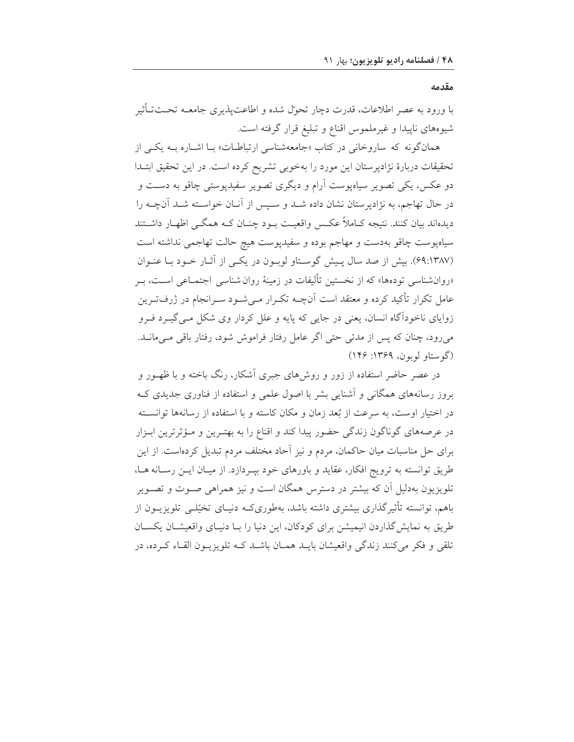مقدمه

با ورود به عصر اطلاعات، قدرت دچار تحول شده و اطاعتیذیری جامعــه تحــتـتأثیر شیوههای ناپیدا و غیرملموس اقناع و تبلیغ قرار گرفته است.

همانگونه که ساروخانی در کتاب «جامعهشناسی ارتباطـات» بـا اشــاره بــه یکــی از تحقیقات دربارهٔ نژادپرستان این مورد را بهخوبی تشریح کرده است. در این تحقیق ابتـدا دو عکس، یکی تصویر سیاهپوست آرام و دیگری تصویر سفیدپوستی چاقو به دسـت و در حال تهاجم، به نژادپرستان نشان داده شـد و سـپس از آنـان خواسـته شـد آنچـه را دیدهاند بیان کنند. نتیجه کــاملاً عکــس واقعیــت بــود چنــان کــه همگــی اظهــار داشــتند سیاهپوست چاقو بهدست و مهاجم بوده و سفیدپوست هیچ حالت تهاجمی نداشته است (۶۹:۱۳۸۷). بیش از صد سال پیش گوستاو لوبون در یکی از آثار خود با عنوان «روانشناسی تودهها» که از نخستین تألیفات در زمینهٔ روان شناسی اجتمـاعی اسـت، بـر عامل تکرار تأکید کرده و معتقد است آنچــه تکــرار مــیشــود ســرانجام در ژرفــتــرین زوایای ناخودآگاه انسان، یعنی در جایی که پایه و علل کردار وی شکل مـیگیــرد فــرو میرود، چنان که پس از مدتی حتی اگر عامل رفتار فراموش شود، رفتار باقی مـی مانــد. (گوستاو لوبون، ۱۳۶۹: ۱۴۶)

در عصر حاضر استفاده از زور و روشهای جبری آشکار، رنگ باخته و با ظهـور و بروز رسانههای همگانی و آشنایی بشر با اصول علمی و استفاده از فناوری جدیدی ک در اختیار اوست، به سرعت از بُعد زمان و مکان کاسته و با استفاده از رسانهها توانسته در عرصههای گوناگون زندگی حضور پیدا کند و اقناع را به بهتـرین و مـؤثرترین ابـزار برای حل مناسبات میان حاکمان، مردم و نیز آحاد مختلف مردم تبدیل کردهاست. از این طريق توانسته به ترويج افكار، عقايد و باورهاي خود بيـردازد. از ميـان ايـن رسـانه هـا، تلویزیون بهدلیل آن که بیشتر در دسترس همگان است و نیز همراهی صـوت و تصـویر باهم، توانسته تأثیرگذاری بیشتری داشته باشد، بهطوریکـه دنیـای تخیّلـی تلویزیـون از طریق به نمایش گذاردن انیمیشن برای کودکان، این دنیا را بـا دنیـای واقعیشــان یکســان تلقی و فکر میکنند زندگی واقعیشان بایـد همـان باشـد کـه تلویزیـون القـاء کـرده، در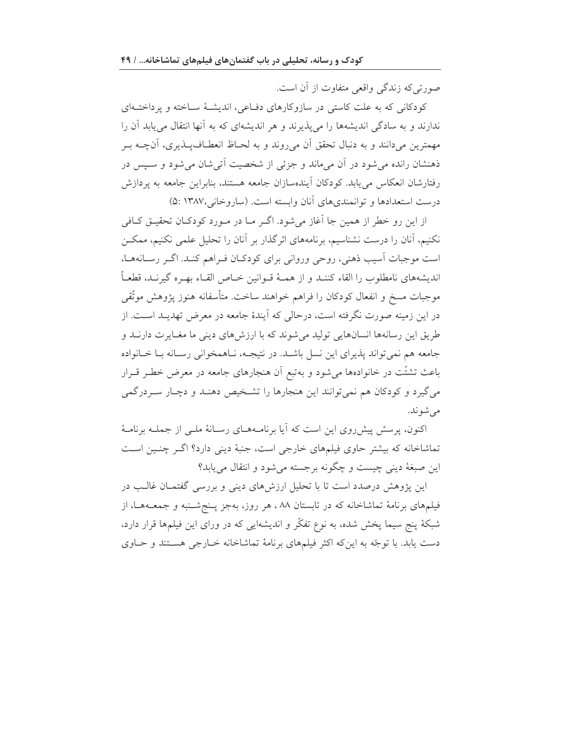صورتی که زندگی واقعی متفاوت از آن است.

کودکانی که به علت کاستی در سازوکارهای دفاعی، اندیشهٔ ساخته و پرداخت۱ای ندارند و به سادگی اندیشهها را می پذیرند و هر اندیشهای که به آنها انتقال می پابد آن را مهمترین میدانند و به دنبال تحقق آن میروند و به لحـاظ انعطـافپــذیری، آنچــه بــر ذهنشان رانده می شود در آن می ماند و جزئی از شخصیت آتی شان می شود و سـیس در رفتارشان انعکاس می یابد. کودکان آیندهسازان جامعه هستند، بنابراین جامعه به یردازش درست استعدادها و توانمندی های آنان وابسته است. (ساروخانی،۱۳۸۷ :۵)

از این رو خطر از همین جا آغاز میشود. اگـر مـا در مـورد کودکـان تحقیـق کـافی نکنیم، آنان را درست نشناسیم، برنامههای اثرگذار بر آنان را تحلیل علمی نکنیم، ممکـن است موجبات آسیب ذهنی، روحی وروانی برای کودکان فراهم کنـد. اگـر رسـانههـا، انديشههاي نامطلوب را القاء كننـد و از همـهٔ قــوانين خــاص القــاء بهــره گيرنــد، قطعــاً موجبات مسخ و انفعال کودکان را فراهم خواهند ساخت. متأسفانه هنوز پژوهش موثّقی در این زمینه صورت نگرفته است، درحالی که آیندهٔ جامعه در معرض تهدیـد اسـت. از طریق این رسانهها انسانهایی تولید میشوند که با ارزشهای دینی ما مغـایرت دارنـد و جامعه هم نمي تواند پذيراي اين نسل باشد. در نتيجـه، نـاهمخواني رسـانه بـا خـانواده باعث تشتّت در خانوادهها میشود و بهتبع آن هنجارهای جامعه در معرض خطـر قــرار می گیرد و کودکان هم نمی توانند این هنجارها را تشـخیص دهنـد و دچـار سـردرگمی مي شو ند.

اکنون، پرسش پیش روی این است که آیا برنامـههـای رسـانهٔ ملـی از جملـه برنامـهٔ تماشاخانه که بیشتر حاوی فیلمهای خارجی است، جنبهٔ دینی دارد؟ اگـر چنـین اسـت اين صبغهٔ ديني چيست و چگونه برجسته مي شود و انتقال مي يابد؟

این پژوهش درصدد است تا با تحلیل ارزشهای دینی و بررسی گفتمـان غالـب در فیلمهای برنامهٔ تماشاخانه که در تابستان ۸۸ ، هر روز، بهجز پـنجشـنبه و جمعـههـا، از شبکهٔ پنج سیما پخش شده، به نوع تفکّر و اندیشهایی که در ورای این فیلمها قرار دارد، دست یابد. با توجّه به این که اکثر فیلمهای برنامهٔ تماشاخانه خـارجی هسـتند و حـاوی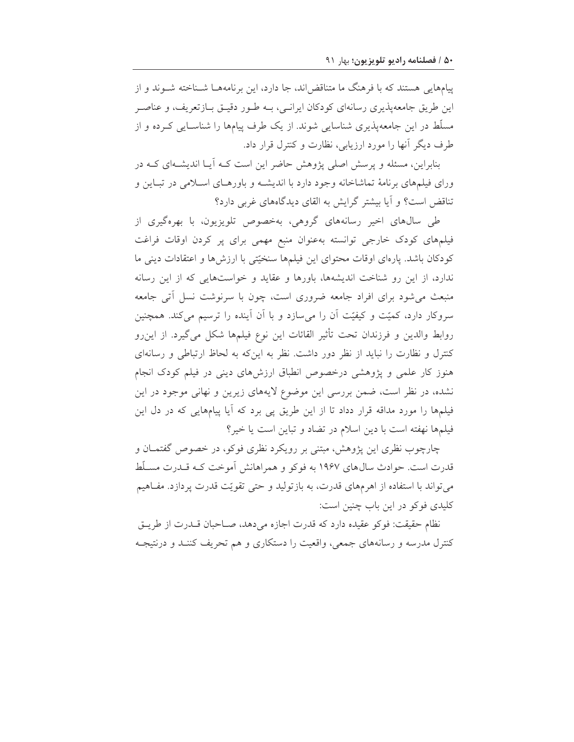پیامهایی هستند که با فرهنگ ما متناقض اند، جا دارد، این برنامههــا شــناخته شــوند و از این طریق جامعهپذیری رسانهای کودکان ایرانـی، بــه طـور دقیــق بــازتعریف، و عناصــر مسلّط در این جامعه پذیری شناسایی شوند. از یک طرف پیامها را شناسـایی کـرده و از طرف دیگر آنها را مورد ارزیابی، نظارت و کنترل قرار داد.

بنابراین، مسئله و پرسش اصلی پژوهش حاضر این است کـه آیـا اندیشـهای کـه در ورای فیلمهای برنامهٔ تماشاخانه وجود دارد با اندیشـه و باورهـای اسـلامی در تبـاین و تناقض است؟ و آیا بیشتر گرایش به القای دیدگاههای غربی دارد؟

طی سالهای اخیر رسانههای گروهی، بهخصوص تلویزیون، با بهرهگیری از فیلمهای کودک خارجی توانسته بهعنوان منبع مهمی برای پر کردن اوقات فراغت کودکان باشد. پارهای اوقات محتوای این فیلمها سنخیّتی با ارزشها و اعتقادات دینی ما ندارد، از این رو شناخت اندیشهها، باورها و عقاید و خواستهایی که از این رسانه منبعث می شود برای افراد جامعه ضروری است، چون با سرنوشت نسل أتبی جامعه سروکار دارد، کمیّت و کیفیّت آن را میسازد و با آن آینده را ترسیم میکند. همچنین روابط والدين و فرزندان تحت تأثير القائات اين نوع فيلمها شكل مي گيرد. از اين رو کنترل و نظارت را نباید از نظر دور داشت. نظر به این که به لحاظ ارتباطی و رسانهای هنوز کار علمی و پژوهشی درخصوص انطباق ارزشهای دینی در فیلم کودک انجام نشده، در نظر است، ضمن بررسی این موضوع لایههای زیرین و نهانی موجود در این فیلمها را مورد مداقه قرار دداد تا از این طریق پی برد که آیا پیامهایی که در دل این فیلمها نهفته است با دین اسلام در تضاد و تباین است یا خیر؟

چارچوب نظری این پژوهش، مبتنی بر رویکرد نظری فوکو، در خصوص گفتمـان و قدرت است. حوادث سال های ۱۹۶۷ به فوکو و همراهانش آموخت کـه قـدرت مسـلّط می تواند با استفاده از اهرمهای قدرت، به بازتولید و حتی تقویّت قدرت پردازد. مفاهیم کلیدی فوکو در این باب چنین است:

نظام حقیقت: فوکو عقیده دارد که قدرت اجازه میدهد، صـاحبان قــدرت از طریــق کنترل مدرسه و رسانههای جمعی، واقعیت را دستکاری و هم تحریف کننـد و درنتیجـه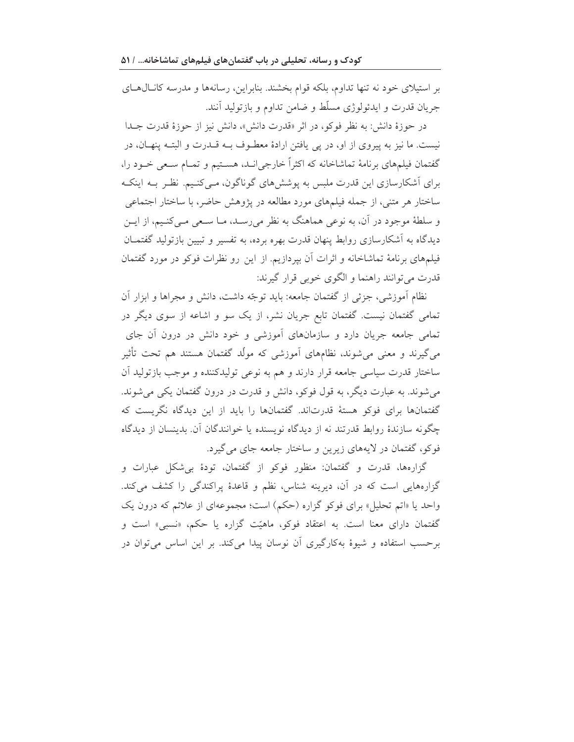بر استیلای خود نه تنها تداوم، بلکه قوام بخشند. بنابراین، رسانهها و مدرسه کانالهای جريان قدرت و ايدئولوژي مسلّط و ضامن تداوم و بازتوليد آنند.

در حوزهٔ دانش: به نظر فوکو، در اثر «قدرت دانش»، دانش نیز از حوزهٔ قدرت جـدا نيست. ما نيز به پيروي از او، در پي يافتن ارادهٔ معطـوف بــه قــدرت و البتــه پنهــان، در گفتمان فیلمهای برنامهٔ تماشاخانه که اکثراً خارجیانـد، هسـتیم و تمـام سـعی خـود را، برای اَشکارسازی این قدرت ملبس به پوشش های گوناگون، مـی کنـیم. نظـر بــه اینکـه ساختار هر متنی، از جمله فیلمهای مورد مطالعه در پژوهش حاضر، با ساختار اجتماعی و سلطهٔ موجود در آن، به نوعی هماهنگ به نظر میرسـد، مـا سـعی مـیکنـیم، از ایــن دیدگاه به آشکارسازی روابط پنهان قدرت بهره برده، به تفسیر و تبیین بازتولید گفتمـان فیلمهای برنامهٔ تماشاخانه و اثرات آن بپردازیم. از این رو نظرات فوکو در مورد گفتمان قدرت مي توانند راهنما و الگوى خوبي قرار گيرند:

نظام آموزشی، جزئی از گفتمان جامعه: باید توجّه داشت، دانش و مجراها و ابزار آن تمامی گفتمان نیست. گفتمان تابع جریان نشر، از یک سو و اشاعه از سوی دیگر در تمامی جامعه جریان دارد و سازمانهای آموزشی و خود دانش در درون آن جای میگیرند و معنی می شوند، نظامهای آموزشی که مولّد گفتمان هستند هم تحت تأثیر ساختار قدرت سیاسی جامعه قرار دارند و هم به نوعی تولیدکننده و موجب بازتولید آن می شوند. به عبارت دیگر، به قول فوکو، دانش و قدرت در درون گفتمان یکی می شوند. گفتمانها برای فوکو هستهٔ قدرتاند. گفتمانها را باید از این دیدگاه نگریست که چگونه سازندهٔ روابط قدرتند نه از دیدگاه نویسنده یا خوانندگان آن. بدینسان از دیدگاه فوكو، گفتمان در لايههاي زيرين و ساختار جامعه جاي مي گيرد.

گزارهها، قدرت و گفتمان: منظور فوكو از گفتمان، تودهٔ بیشكل عبارات و گزارههایی است که در آن، دیرینه شناس، نظم و قاعدهٔ پراکندگی را کشف میکند. واحد یا «اتم تحلیل» برای فوکو گزاره (حکم) است؛ مجموعهای از علائم که درون یک گفتمان دارای معنا است. به اعتقاد فوکو، ماهیّت گزاره یا حکم، «نسبی» است و برحسب استفاده و شیوهٔ بهکارگیری آن نوسان پیدا میکند. بر این اساس می توان در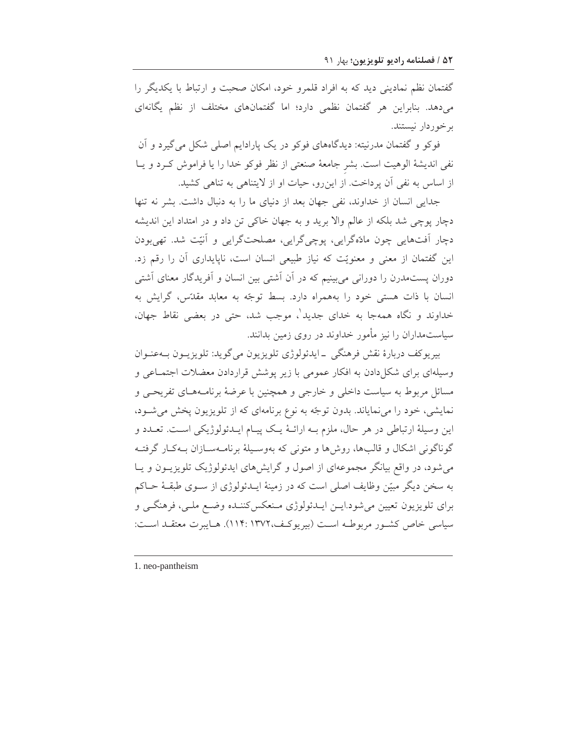گفتمان نظم نمادینی دید که به افراد قلمرو خود، امکان صحبت و ارتباط با یکدیگر را می دهد. بنابراین هر گفتمان نظمی دارد؛ اما گفتمانهای مختلف از نظم یگانهای برخوردار نيستند.

فوکو و گفتمان مدرنیته: دیدگاههای فوکو در یک پارادایم اصلی شکل می گیرد و آن نفي انديشة الوهيت است. بشر جامعة صنعتي از نظر فوكو خدا را يا فراموش كرد و يا از اساس به نفي آن پرداخت. از اين رو، حيات او از لايتناهي به تناهي كشيد.

جدایی انسان از خداوند، نفی جهان بعد از دنیای ما را به دنبال داشت. بشر نه تنها دچار پوچی شد بلکه از عالم والا برید و به جهان خاکی تن داد و در امتداد این اندیشه دچار آفتهایی چون مادّهگرایی، پوچیگرایی، مصلحتگرایی و آنیّت شد. تهی بودن این گفتمان از معنی و معنویّت که نیاز طبیعی انسان است، ناپایداری آن را رقم زد. دوران پستمدرن را دورانی می بینیم که در آن آشتی بین انسان و آفریدگار معنای آشتی انسان با ذات هستی خود را بههمراه دارد. بسط توجّه به معابد مقدّس، گرایش به خداوند و نگاه همهجا به خدای جدید'، موجب شد، حتی در بعضی نقاط جهان، سیاستمداران را نیز مأمور خداوند در روی زمین بدانند.

بيريو کف دربارۂ نقش فرهنگي ۔ايدئولوژي تلويزيون مي گويد: تلويزيـون بــهعنـوان وسیلهای برای شکل دادن به افکار عمومی با زیر پوشش قراردادن معضلات اجتمــاعی و مسائل مربوط به سیاست داخلی و خارجی و همچنین با عرضهٔ برنامـههـای تفریحـی و نمایشی، خود را می نمایاند. بدون توجّه به نوع برنامهای که از تلویزیون پخش می شود، این وسیلهٔ ارتباطی در هر حال، ملزم بـه ارائـهٔ یـک پیـام ایـدئولوژیکی اسـت. تعـدد و گوناگونی اشکال و قالبها، روشها و متونی که بهوسـیلهٔ برنامـهسـازان بـهکـار گرفتـه میشود، در واقع بیانگر مجموعهای از اصول و گرایشهای ایدئولوژیک تلویزیـون و یـا به سخن دیگر مبیّن وظایف اصلی است که در زمینهٔ ایــدئولوژی از ســوی طبقــهٔ حــاکم براي تلويزيون تعيين مي شود.ايــن ايــدئولوژي مــنعكس2ننــده وضـع ملــي، فرهنگــي و سياسي خاص كشور مربوطـه اسـت (بيريوكـف،١٣٧٢). هـايبرت معتقـد اسـت:

<sup>1.</sup> neo-pantheism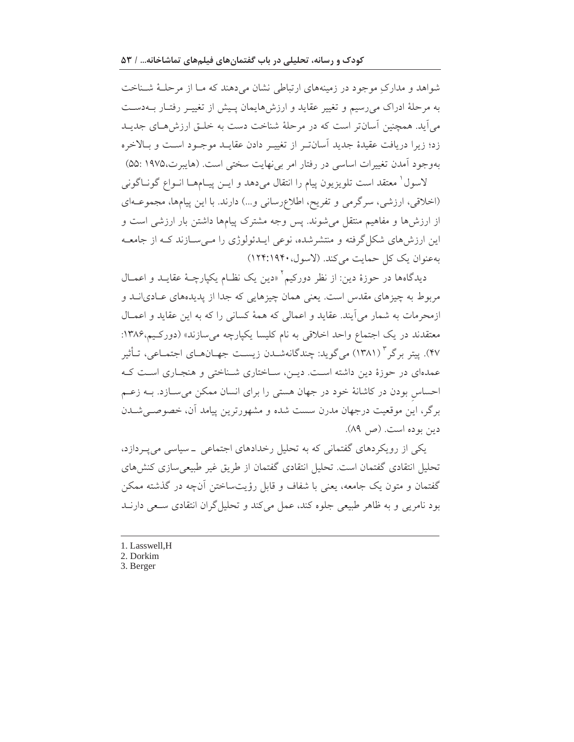شواهد و مدارک موجود در زمینههای ارتباطی نشان می دهند که مـا از مرحلـهٔ شـناخت به مرحلهٔ ادراک میرسیم و تغییر عقاید و ارزشهایمان پیش از تغییـر رفتـار بــهدسـت می آید. همچنین آسانتر است که در مرحلهٔ شناخت دست به خلــق ارزش۵حـای جدیــد زد؛ زیرا دریافت عقیدهٔ جدید اَسانت ِ از تغییـر دادن عقایـد موجـود اسـت و بـالاخره بهوجود آمدن تغییرات اساسی در رفتار امر بی نهایت سختی است. (هایبرت،۱۹۷۵ :۵۵)

لاسول ٰ معتقد است تلويزيون ييام را انتقال مىدهد و ايــن پيــامهــا انــواع گونــاگونى (اخلاقی، ارزشی، سرگرمی و تفریح، اطلاع رسانی و...) دارند. با این پیامها، مجموعهای از ارزشها و مفاهیم منتقل می شوند. پس وجه مشترک پیامها داشتن بار ارزشی است و این ارزشهای شکل گرفته و منتشرشده، نوعی ایــدئولوژی را مــیسـازند کــه از جامعــه بهعنوان یک کل حمایت می کند. (لاسول، ۱۹۴:۱۹۴۰)

دیدگاهها در حوزهٔ دین: از نظر دورکیم<sup>۲</sup> «دین یک نظـام یکپارچـهٔ عقایــد و اعمــال مربوط به چیزهای مقدس است. یعنی همان چیزهایی که جدا از پدیدههای عـادی|نــد و ازمحرمات به شمار می آیند. عقاید و اعمالی که همهٔ کسانی را که به این عقاید و اعمـال معتقدند در یک اجتماع واحد اخلاقی به نام کلیسا یکپارچه میسازند» (دورکیم،۱۳۸۶: ۴۷). پیتر برگر " (۱۳۸۱) می گوید: چندگانهشـدن زیسـت جهـانهـای اجتمـاعی، تـأثیر عمدهای در حوزهٔ دین داشته است. دیـن، سـاختاری شـناختی و هنجـاری اسـت کـه احساس بودن در کاشانهٔ خود در جهان هستی را برای انسان ممکن می سازد. بـه زعـم برگر، این موقعیت درجهان مدرن سست شده و مشهورترین پیامد آن، خصوصـیشـدن دين بوده است. (ص ٨٩).

یکی از رویکردهای گفتمانی که به تحلیل رخدادهای اجتماعی ــ سیاسی می پـردازد، تحلیل انتقادی گفتمان است. تحلیل انتقادی گفتمان از طریق غیر طبیعی سازی کنش های گفتمان و متون یک جامعه، یعنی با شفاف و قابل رؤیتساختن آنچه در گذشته ممکن بود نامریی و به ظاهر طبیعی جلوه کند، عمل می کند و تحلیل گران انتقادی سـعی دارنــد

- 1. Lasswell, H
- 2. Dorkim
- 3. Berger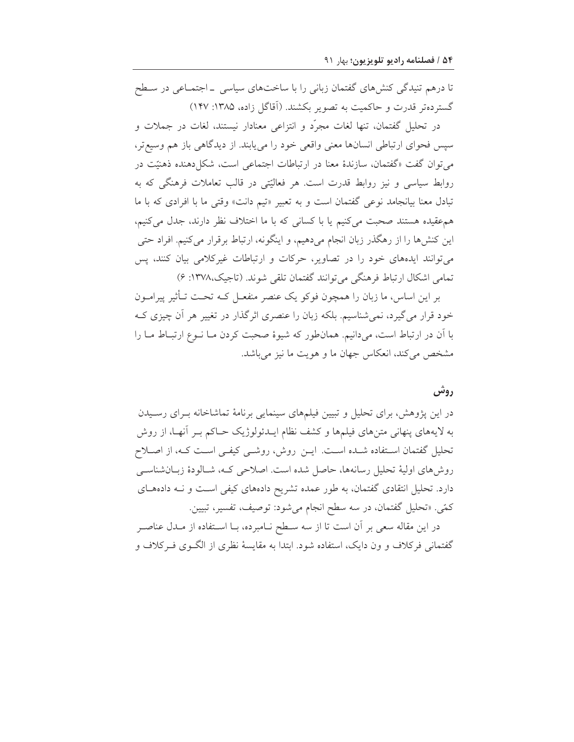تا درهم تنیدگی کنشهای گفتمان زبانی را با ساختهای سیاسی \_ اجتمـاعی در سـطح گستردهتر قدرت و حاکمیت به تصویر بکشند. (اَقاگل زاده، ۱۳۸۵: ۱۴۷)

در تحليل گفتمان، تنها لغات مجرَّد و انتزاعي معنادار نيستند، لغات در جملات و سيس فحواي ارتباطي انسانها معنى واقعى خود را مي يابند. از ديدگاهي باز هم وسيع تر، می توان گفت «گفتمان، سازندهٔ معنا در ارتباطات اجتماعی است، شکل دهنده ذهنیّت در روابط سیاسی و نیز روابط قدرت است. هر فعالیّتی در قالب تعاملات فرهنگی که به تبادل معنا بیانجامد نوعی گفتمان است و به تعبیر «تیم دانت» وقتی ما با افرادی که با ما هم عقیده هستند صحبت میکنیم یا با کسانی که با ما اختلاف نظر دارند، جدل میکنیم، این کنشها را از رهگذر زبان انجام میدهیم، و اینگونه، ارتباط برقرار میکنیم. افراد حتی میتوانند ایدههای خود را در تصاویر، حرکات و ارتباطات غیرکلامی بیان کنند، پس تمامي اشكال ارتباط فرهنگي مي توانند گفتمان تلقي شوند. (تاجيک،١٣٧٨: ۶)

بر این اساس، ما زبان را همچون فوکو یک عنصر منفعـل کـه تحـت تـأثیر پیرامـون خود قرار می گیرد، نمیشناسیم. بلکه زبان را عنصری اثرگذار در تغییر هر آن چیزی ک با آن در ارتباط است، میدانیم. همان طور که شیوهٔ صحبت کردن مـا نـوع ارتبـاط مـا را مشخص می کند، انعکاس جهان ما و هویت ما نیز می باشد.

## روش

در این پژوهش، برای تحلیل و تبیین فیلمهای سینمایی برنامهٔ تماشاخانه بـرای رسـیدن به لایههای پنهانی متنهای فیلمها و کشف نظام ایـدئولوژیک حـاکم بـر آنهـا، از روش تحلیل گفتمان استفاده شـده اسـت. ایــن روش، روشــی کیفــی اسـت کــه، از اصــلاح روش هاي اوليهٔ تحليل رسانهها، حاصل شده است. اصلاحي كـه، شـالودهٔ زبـانشناسـي دارد. تحلیل انتقادی گفتمان، به طور عمده تشریح دادههای کیفی است و نـه دادههـای كمّى. «تحليل گفتمان، در سه سطح انجام مىشود: توصيف، تفسير، تبيين.

در این مقاله سعی بر آن است تا از سه سـطح نـامبرده، بـا اسـتفاده از مـدل عناصـر گفتمانی فرکلاف و ون دایک، استفاده شود. ابتدا به مقایسهٔ نظری از الگـوی فـرکلاف و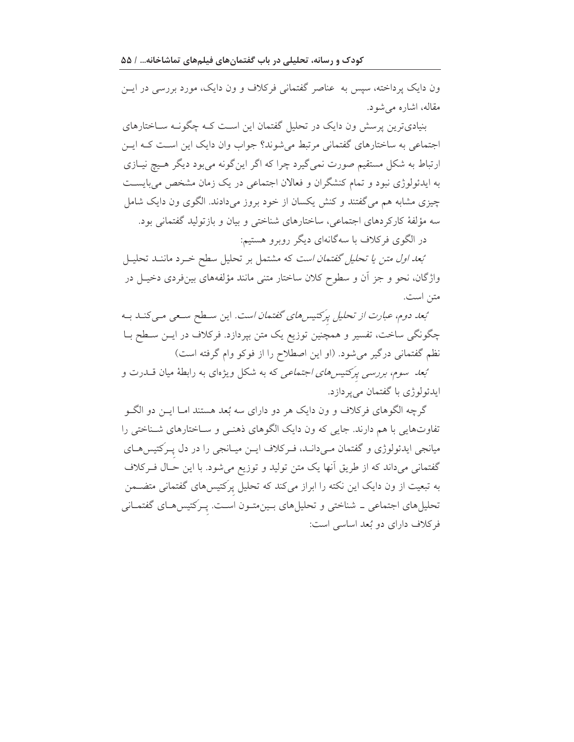کودک و رسانه، تحلیلی در باب گفتمانهای فیلمهای تماشاخانه... / ۵۵

ون دایک پرداخته، سپس به عناصر گفتمانی فرکلاف و ون دایک، مورد بررسی در ایس مقاله، اشاره می شود.

بنیادیترین پرسش ون دایک در تحلیل گفتمان این است کـه چگونـه سـاختارهای اجتماعی به ساختارهای گفتمانی مرتبط میشوند؟ جواب وان دایک این است کـه ایــن ارتباط به شکل مستقیم صورت نمی گیرد چرا که اگر این گونه می بود دیگر هـیچ نیـازی به ایدئولوژی نبود و تمام کنشگران و فعالان اجتماعی در یک زمان مشخص میبایست چیزی مشابه هم می گفتند و کنش یکسان از خود بروز میدادند. الگوی ون دایک شامل سه مؤلفهٔ کارکردهای اجتماعی، ساختارهای شناختی و بیان و بازتولید گفتمانی بود. در الگوی فرکلاف با سهگانهای دیگر روبرو هستیم:

تبعد اول متن يا تحليل گفتمان است كه مشتمل بر تحليل سطح خرد ماننـد تحليـل واژگان، نحو و جز اَن و سطوح کلان ساختار متنی مانند مؤلفههای بینفردی دخیـل در متن است.

تبعد دوم، عبارت از تحلیل پرکتیس های گفتمان است. این سطح سعی می کنـد بـه چگونگی ساخت، تفسیر و همچنین توزیع یک متن بپردازد. فرکلاف در ایـن سـطح بـا نظم گفتمانی درگیر میشود. (او این اصطلاح را از فوکو وام گرفته است)

تبع*د سوم، بررسی پرکتیسهای اجتماعی* که به شکل ویژهای به رابطهٔ میان قــدرت و ايدئولوژي با گفتمان مي پر دازد.

گرچه الگوهای فرکلاف و ون دایک هر دو دارای سه بُعد هستند امـا ایــن دو الگــو تفاوتهایی با هم دارند. جایی که ون دایک الگوهای ذهنمی و سـاختارهای شـناختی را میانجی ایدئولوژی و گفتمان مـیدانـد، فـرکلاف ایــن میـانجی را در دل پـرکتیس۵حـای گفتمانی میداند که از طریق آنها یک متن تولید و توزیع میشود. با این حـال فـرکلاف به تبعیت از ون دایک این نکته را ابراز میکند که تحلیل پرکتیسهای گفتمانی متضــمن تحلیلهای اجتماعی ــ شناختی و تحلیلهای بـینمتـون اسـت. پـرکتیسهـای گفتمـانی فركلاف داراي دو بُعد اساسي است: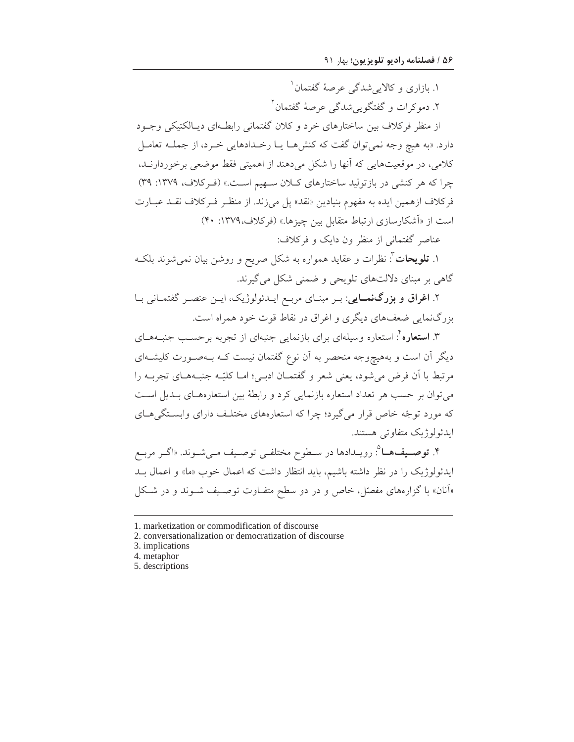۱. بازاری و کالایی شدگی عرصهٔ گفتمان ۱

۲. دموکرات و گفتگویی شدگی عرصهٔ گفتمان<sup>۲</sup>

از منظر فرکلاف بین ساختارهای خرد و کلان گفتمانی رابطـهای دیـالکتیکی وجـود دارد. «به هيچ وجه نمي توان گفت كه كنش هـا يـا رخـدادهايي خـرد، از جملــه تعامــل كلامي، در موقعيتهايي كه أنها را شكل مي دهند از اهميتي فقط موضعي برخوردارنـد، چرا که هر کنشی در بازتولید ساختارهای کلان سهیم است.» (ف کلاف، ۱۳۷۹: ۳۹) فركلاف ازهمين ايده به مفهوم بنيادين «نقد» يل مي;ند. از منظـر فـركلاف نقــد عبــارت است از «آشکارسازی ارتباط متقابل بین چیزها.» (فرکلاف،۱۳۷۹: ۴۰)

عناصر گفتمانی از منظر ون دایک و فرکلاف:

۱. **تلویحات**": نظرات و عقاید همواره به شکل صریح و روشن بیان نمیشوند بلکـه گاهی بر مبنای دلالتهای تلویحی و ضمنی شکل می گیرند.

۲. اغراق و بزرگنمایی: بـر مبنـای مربـع ایـدئولوژیک، ایـن عنصـر گفتمـانی بـا بزرگ نمایی ضعفهای دیگری و اغراق در نقاط قوت خود همراه است.

۳. **استعاره** ٔ: استعاره وسیلهای برای بازنمایی جنبهای از تجربه برحسـب جنبـههــای دیگر آن است و بههیچوجه منحصر به آن نوع گفتمان نیست کـه بـهصـورت کلیشـهای مرتبط با أن فرض مي شود، يعني شعر و گفتمـان ادبـي؛ امـا كليّـه جنبـههـاي تجربـه را می توان بر حسب هر تعداد استعاره بازنمایی کرد و رابطهٔ بین استعارههـای بـدیل اسـت که مورد توجّه خاص قرار می گیرد؛ چرا که استعارههای مختلـف دارای وابسـتگیهــای ايدئولوژيک متفاوتي هستند.

۴. **توصـيفهــا**": رويــدادها در ســطوح مختلفــى توصــيف مــىشــوند. «اگــر مربــع ایدئولوژیک را در نظر داشته باشیم، باید انتظار داشت که اعمال خوب «ما» و اعمال بـد «آنان» با گزارههای مفصّل، خاص و در دو سطح متفاوت توصیف شـوند و در شـکل

<sup>1.</sup> marketization or commodification of discourse

<sup>2.</sup> conversationalization or democratization of discourse

<sup>3.</sup> implications

<sup>4.</sup> metaphor

<sup>5.</sup> descriptions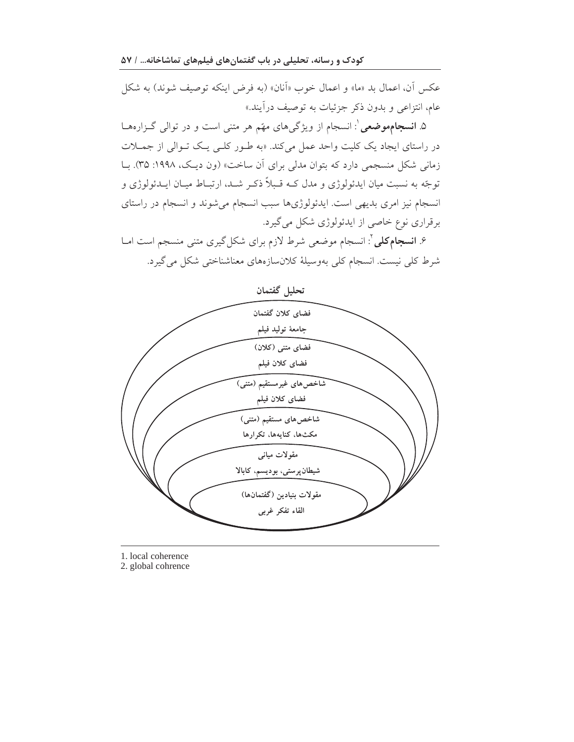کودک و رسانه، تحلیلی در باب گفتمانهای فیلمهای تماشاخانه… / ۵۷

عكس أن، اعمال بد «ما» و اعمال خوب «آنان» (به فرض اينكه توصيف شوند) به شكل عام، انتزاعی و بدون ذکر جزئیات به توصیف درآیند.»

۵. **انسجامهوضعی**': انسجام از ویژگیهای مهّم هر متنی است و در توالی گـزارههـا در راستای ایجاد یک کلیت واحد عمل میکند. «به طـور کلـی یـک تـوالی از جمـلات زمانی شکل منسجمی دارد که بتوان مدلی برای آن ساخت» (ون دیک، ۱۹۹۸: ۳۵). بـا توجّه به نسبت میان ایدئولوژی و مدل کـه قـبلاً ذکـر شـد، ارتبـاط میـان ایــدئولوژی و انسجام نیز امری بدیهی است. ایدئولوژیها سبب انسجام میشوند و انسجام در راستای برقراری نوع خاصی از ایدئولوژی شکل می گیرد.

۶. **انسجام کلی** <sup>۲</sup>: انسجام موضعی شرط لازم برای شکل گیری متنی منسجم است امـا شرط کل<sub>ی</sub> نیست. انسجام کل<sub>ی</sub> بهوسیلهٔ کلانسازههای معناشناختی شکل میگیرد.



1. local coherence

2. global cohrence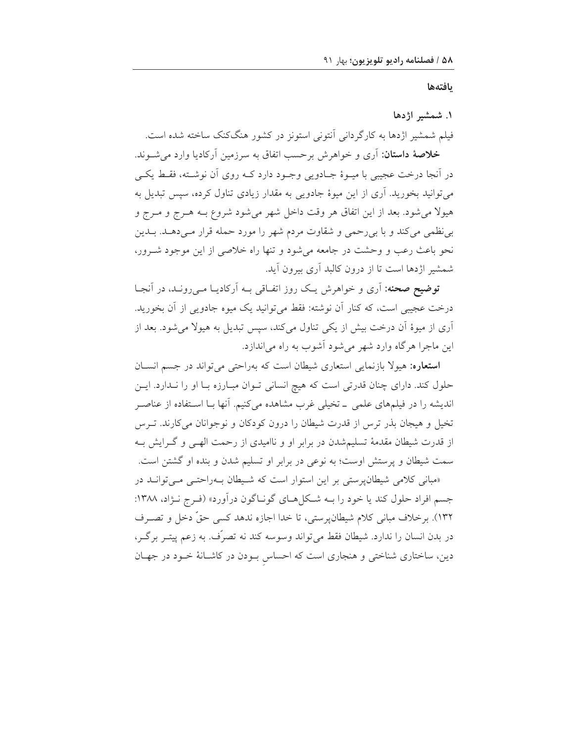بافتهها

### ١. شمشير اژدها

فیلم شمشیر اژدها به کارگردانی آنتونی استونز در کشور هنگکنک ساخته شده است. **خلاصهٔ داستان**: آری و خواهرش برحسب اتفاق به سرزمین آرکادیا وارد می شـوند. در آنجا درخت عجیبی با میـوهٔ جـادویی وجـود دارد کــه روی آن نوشــته، فقـط یکــی می توانید بخورید. آری از این میوهٔ جادویی به مقدار زیادی تناول کرده، سپس تبدیل به هیولا می شود. بعد از این اتفاق هر وقت داخل شهر می شود شروع بـه هـرج و مـرج و بی نظمی می کند و با بی رحمی و شقاوت مردم شهر را مورد حمله قرار مـیدهـد. بـدین نحو باعث رعب و وحشت در جامعه میشود و تنها راه خلاصی از این موجود شـرور، شمشیر اژدها است تا از درون کالبد آری بیرون آید.

**توضیح صحنه**: آری و خواهرش یـک روز اتفـاقی بــه آرکادیــا مــیرونــد، در آنجــا درخت عجیبی است، که کنار آن نوشته: فقط میتوانید یک میوه جادویی از آن بخورید. آری از میوهٔ آن درخت بیش از یکی تناول میکند، سپس تبدیل به هیولا می شود. بعد از اين ماجرا هرگاه وارد شهر مي شود آشوب به راه مي اندازد.

استعاره: هیولا بازنمایی استعاری شیطان است که بهراحتی می تواند در جسم انسان حلول کند. دارای چنان قدرتی است که هیچ انسانی توان مبارزه با او را ندارد. این اندیشه را در فیلمهای علمی \_ تخیلی غرب مشاهده میکنیم. آنها بـا اسـتفاده از عناصـر تخیل و هیجان بذر ترس از قدرت شیطان را درون کودکان و نوجوانان می کارند. تـرس از قدرت شیطان مقدمهٔ تسلیمشدن در برابر او و ناامیدی از رحمت الهے و گـرایش بـه سمت شیطان و پرستش اوست؛ به نوعی در برابر او تسلیم شدن و بنده او گشتن است.

«مبانی کلامی شیطانپرستی بر این استوار است که شیطان بهراحتبی میتوان در جسم افراد حلول كند يا خود را بـه شـكلهـاي گونـاگون درآورد» (فـرج نـژاد، ۱۳۸۸: ١٣٢). برخلاف مباني كلام شيطانپرستي، تا خدا اجازه ندهد كسي حقٍّ دخل و تصـرف در بدن انسان را ندارد. شیطان فقط می تواند وسوسه کند نه تصرّف. به زعم پیتـر برگـر، دین، ساختاری شناختی و هنجاری است که احساس بودن در کاشانهٔ خـود در جهـان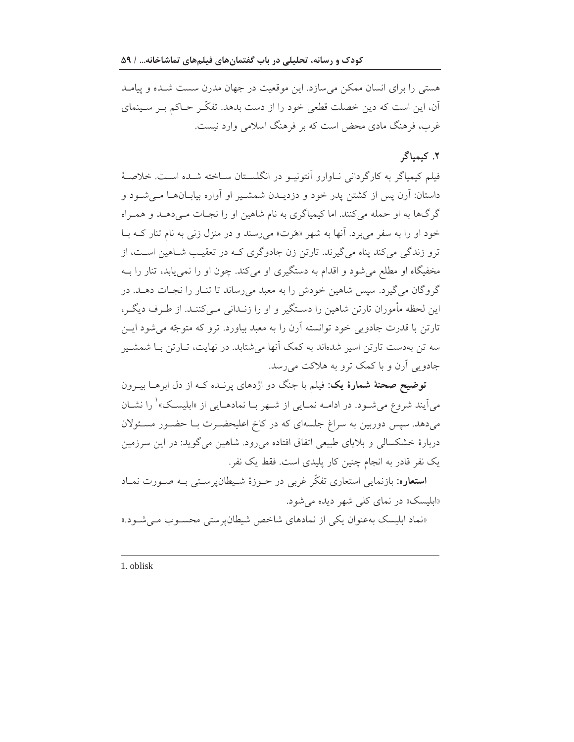هستی را برای انسان ممکن می سازد. این موقعیت در جهان مدرن سست شـده و پیامـد آن، این است که دین خصلت قطعی خود را از دست بدهد. تفکّـر حـاکم بـر سـینمای غرب، فرهنگ مادی محض است که بر فرهنگ اسلامی وارد نیست.

## ٢. كيمياگر

فيلم كيمياگر به كارگرداني نــاوارو اّنتونيــو در انگلســتان ســاخته شــده اســت. خلاصــهٔ داستان: آرن پس از کشتن پدر خود و دزدیــدن شمشــیر او آواره بیابــانهــا مــیشــود و گرگها به او حمله میکنند. اما کیمیاگری به نام شاهین او را نجـات مـیدهـد و همـراه خود او را به سفر می برد. آنها به شهر «هَرت» می رسند و در منزل زنبی به نام تنار کـه بــا ترو زندگی می کند پناه می گیرند. تارتن زن جادوگری کـه در تعقیـب شـاهین اسـت، از مخفیگاه او مطلع میشود و اقدام به دستگیری او میکند. چون او را نمی یابد، تنار را بـه گروگان می گیرد. سپس شاهین خودش را به معبد میرساند تا تنـار را نجـات دهـد. در این لحظه مأموران تارتن شاهین را دستگیر و او را زنـدانی مـی کننـد. از طـرف دیگـر، تارتن با قدرت جادویی خود توانسته آرن را به معبد بیاورد. ترو که متوجّه می شود ایـن سه تن بهدست تارتن اسیر شدهاند به کمک آنها می شتابد. در نهایت، تــارتن بــا شـمشــیر جادویی آرن و با کمک ترو به هلاکت میرسد.

<mark>توضیح صحنهٔ شمارهٔ یک</mark>: فیلم با جنگ دو اژدهای پرنــده کــه از دل ابرهــا بیــرون میآیند شروع می شود. در ادامــه نمــایی از شــهر بــا نمادهــایی از «ابلیســک» ٰ را نشــان می،دهد. سیس دوربین به سراغ جلسهای که در کاخ اعلیحضـرت بـا حضـور مسـئولان دربارهٔ خشکسالی و بلایای طبیعی اتفاق افتاده می رود. شاهین میگوید: در این سرزمین یک نفر قادر به انجام چنین کار پلیدی است. فقط یک نفر.

**استعاره**: بازنمایی استعاری تفکّر غربی در حــوزهٔ شــیطان&سـتی بــه صــورت نمــاد «ابلیسک» در نمای کلی شهر دیده می شود.

«نماد ابلیسک به عنوان یکی از نمادهای شاخص شیطان پر ستی محسوب مے شود.»

1. oblisk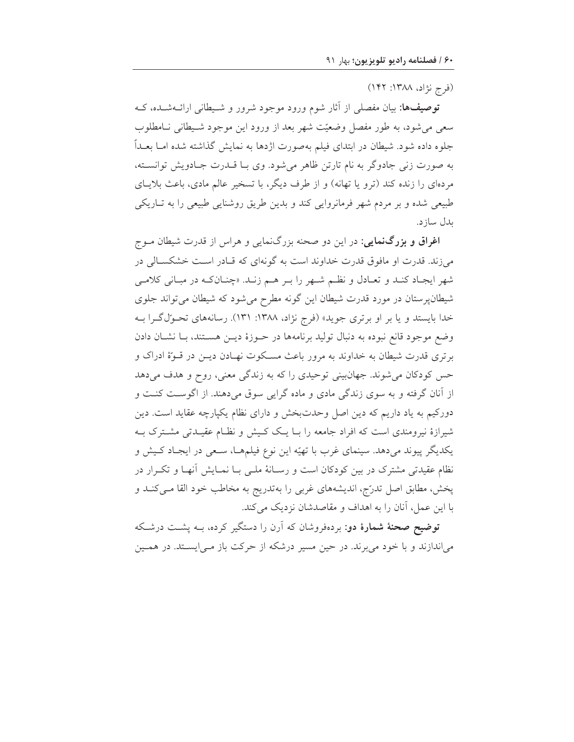(فرج نژاد، ۱۳۸۸: ۱۴۲)

<mark>توصیف۵ا:</mark> بیان مفصلی از أثار شوم ورود موجود شرور و شـیطانی ارائــهشــده، کــه سعی می شود، به طور مفصل وضعیّت شهر بعد از ورود این موجود شـیطانی نـامطلوب جلوه داده شود. شیطان در ابتدای فیلم بهصورت اژدها به نمایش گذاشته شده امـا بعــداً به صورت زنی جادوگر به نام تارتن ظاهر می شود. وی بـا قــدرت جــادویش توانسـته، مردهای را زنده کند (ترو یا تهانه) و از طرف دیگر، با تسخیر عالم مادی، باعث بلایـای طبیعی شده و بر مردم شهر فرمانروایی کند و بدین طریق روشنایی طبیعی را به تـاریکی بدل ساز د.

**اغراق و بزرگنمایی**: در این دو صحنه بزرگنمایی و هراس از قدرت شیطان مــوج میزند. قدرت او مافوق قدرت خداوند است به گونهای که قـادر اسـت خشکسـالی در شهر ايجـاد كنـد و تعـادل و نظـم شـهر را بـر هـم زنـد. «چنـانكـه در مبـاني كلامـي شیطانپرستان در مورد قدرت شیطان این گونه مطرح می شود که شیطان می تواند جلوی خدا بایستد و یا بر او برتری جوید» (فرج نژاد، ۱۳۸۸: ۱۳۱). رسانههای تحـولگـرا بــه وضع موجود قانع نبوده به دنبال توليد برنامهها در حـوزهٔ ديـن هسـتند، بـا نشـان دادن برتری قدرت شیطان به خداوند به مرور باعث مسکوت نهـادن دیــن در قــوّهٔ ادراک و حس کودکان میشوند. جهانبینی توحیدی را که به زندگی معنی، روح و هدف میدهد از آنان گرفته و به سوی زندگی مادی و ماده گرایی سوق میدهند. از اگوست کنت و دورکیم به یاد داریم که دین اصل وحدتبخش و دارای نظام یکپارچه عقاید است. دین شیرازهٔ نیرومندی است که افراد جامعه را بـا یـک کـیش و نظـام عقیـدتی مشـترک بـه يکديگر پيوند مي دهد. سينماي غرب با تهيّه اين نوع فيلمهـا، سـعي در ايجـاد کـيش و نظام عقیدتی مشترک در بین کودکان است و رسـانهٔ ملـی بـا نمـایش آنهـا و تکـرار در پخش، مطابق اصل تدرّج، اندیشههای غربی را بهتدریج به مخاطب خود القا مـیکنـد و با این عمل، آنان را به اهداف و مقاصدشان نزدیک می کند.

توضیح صحنهٔ شمارهٔ دو: بردهفروشان که آرن را دستگیر کرده، بـه پشـت درشـکه می|ندازند و با خود می برند. در حین مسیر درشکه از حرکت باز مـی|پســتد. در همــین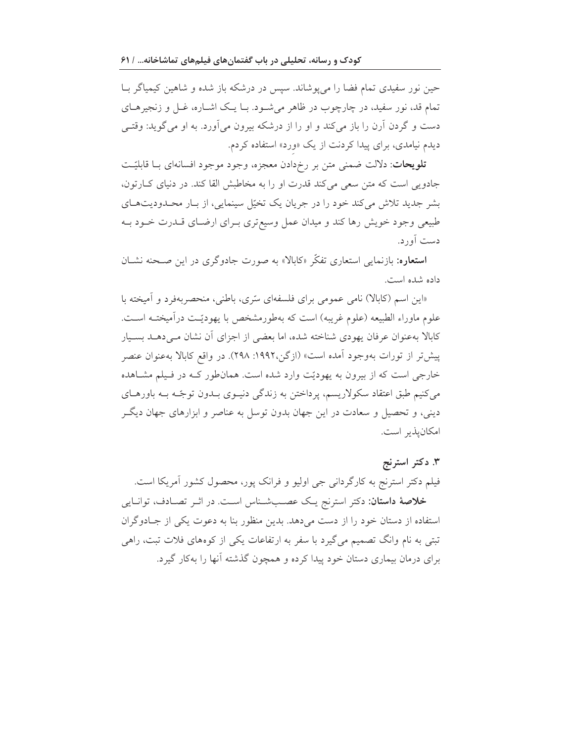حین نور سفیدی تمام فضا را می یوشاند. سپس در درشکه باز شده و شاهین کیمیاگر بــا تمام قد، نور سفید، در چارچوب در ظاهر می شـود. بـا یـک اشـاره، غـل و زنجیرهــای دست و گردن آرن را باز میکند و او را از درشکه بیرون می آورد. به او می گوید: وقتـی دیدم نیامدی، برای پیدا کردنت از یک «ورد» استفاده کردم.

**تلويحات**: دلالت ضمني متن بر رخدادن معجزه، وجود موجود افسانهاي بــا قابليّـت جادویی است که متن سعی میکند قدرت او را به مخاطبش القا کند. در دنیای کبارتون، بشر جدید تلاش میکند خود را در جریان یک تخیّل سینمایی، از بار محـدودیتهـای طبیعی وجود خویش رها کند و میدان عمل وسیع تری بـرای ارضـای قــدرت خــود بــه دست آور د.

**استعاره**: بازنمایی استعاری تفکّر «کابالا» به صورت جادوگری در این صـحنه نشــان داده شده است.

«این اسم (کابالا) نامی عمومی برای فلسفهای متری، باطنی، منحصربهفرد و آمیخته با علوم ماوراء الطبيعه (علوم غريبه) است كه بهطورمشخص با يهوديّـت درآميختـه اسـت. کابالا بهعنوان عرفان یهودی شناخته شده، اما بعضی از اجزای آن نشان مبے دهــد بســیار پیش تر از تورات بهوجود آمده است» (ازگن،۱۹۹۲: ۲۹۸). در واقع کابالا بهعنوان عنصر خارجی است که از بیرون به یهودیّت وارد شده است. همانطور کـه در فـیلم مشـاهده میکنیم طبق اعتقاد سکولاریسم، پرداختن به زندگی دنیـوی بـدون توجّـه بـه باورهـای دینی، و تحصیل و سعادت در این جهان بدون توسل به عناصر و ابزارهای جهان دیگ امكان يذير است.

# ۳. دکتر استرنج فیلم دکتر استرنج به کارگردانی جی اولیو و فرانک پور، محصول کشور آمریکا است. خلاصهٔ داستان: دکتر استرنج یک عصبشناس است. در اثـر تصـادف، توانـایی استفاده از دستان خود را از دست می دهد. بدین منظور بنا به دعوت یکی از جـادوگران تبتی به نام وانگ تصمیم میگیرد با سفر به ارتفاعات یکی از کوههای فلات تبت، راهی برای درمان بیماری دستان خود پیدا کرده و همچون گذشته آنها را بهکار گیرد.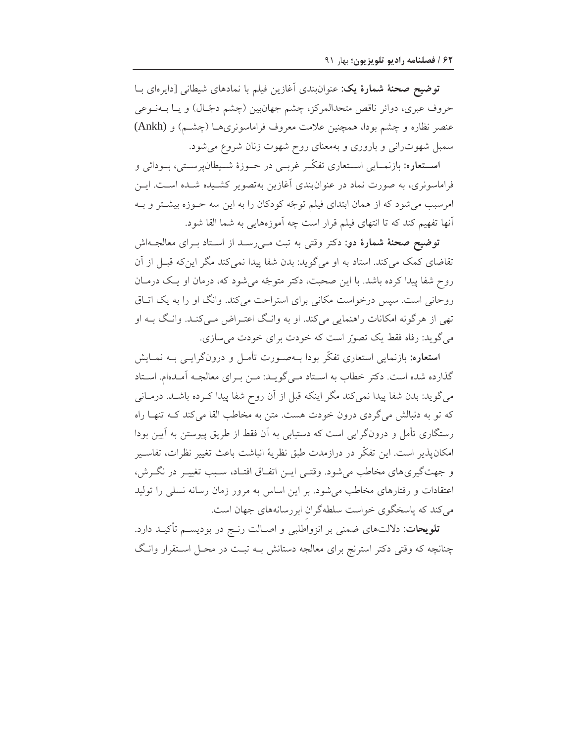توضیح صحنهٔ شمارهٔ یک: عنوانبندی أغازین فیلم با نمادهای شیطان<sub>ی</sub> [دایرەای بــا حروف عبري، دوائر ناقص متحدالمركز، چشم جهانبين (چشم دجّال) و يـا بــهنــوعى عنصر نظاره و چشم بودا، همچنین علامت معروف فراماسونری هـا (چشـم) و (Ankh) سمبل شهوت رانی و باروری و بهمعنای روح شهوت زنان شروع می شود.

**اســتعاره:** بازنمــايي اســتعاري تفكّــر غربــي در حــوزهٔ شــيطانپرســتي، بــودائي و فراماسونری، به صورت نماد در عنوانبندی آغازین بهتصویر کشـیده شـده اسـت. ایـن امرسبب می شود که از همان ابتدای فیلم توجّه کودکان را به این سه حـوزه بیشـتر و بـه أنها تفهیم کند که تا انتهای فیلم قرار است چه آموزههایی به شما القا شود.

توضیح صحنهٔ شمارهٔ دو: دکتر وقتی به تبت مـیرسـد از اسـتاد بـرای معالجـهاش تقاضای کمک میکند. استاد به او میگوید: بدن شفا پیدا نمیکند مگر اینکه قبـل از آن روح شفا پیدا کرده باشد. با این صحبت، دکتر متوجّه می شود که، درمان او یک درمـان روحانی است. سپس درخواست مکانی برای استراحت می کند. وانگ او را به یک اتـاق تھی از ہرگونه امکانات راهنمایی میکند. او به وانگ اعتـراض مـیکنـد. وانـگ بـه او می گوید: رفاه فقط یک تصوّر است که خودت برای خودت می سازی.

**استعاره**: بازنمایی استعاری تفکّر بودا بـهصـورت تأمـل و درونگرایـی بـه نمـایش گذارده شده است. دکتر خطاب به استاد مـی گویـد: مـن بـرای معالجـه آمـدهام. اسـتاد می گوید: بدن شفا پیدا نمی کند مگر اینکه قبل از آن روح شفا پیدا کـرده باشـد. درمـانی که تو به دنبالش میگردی درون خودت هست. متن به مخاطب القا میکند کـه تنهـا راه رستگاری تأمل و درونگرایی است که دستیابی به آن فقط از طریق پیوستن به آیین بودا امكان يذير است. اين تفكَّر در درازمدت طبق نظريهٔ انباشت باعث تغيير نظرات، تفاسـير و جهت گیری های مخاطب می شود. وقتـی ایـن اتفـاق افتـاد، سـبب تغییـر در نگـرش، اعتقادات و رفتارهای مخاطب میشود. بر این اساس به مرور زمان رسانه نسلی را تولید می کند که پاسخگوی خواست سلطهگران ابررسانههای جهان است.

**تلویحات**: دلالتهای ضمنی بر انزواطلبی و اصـالت رنـج در بودیسـم تأکیـد دارد. چنانچه که وقتی دکتر استرنج برای معالجه دستانش بــه تبــت در محــل اســتقرار وانـگ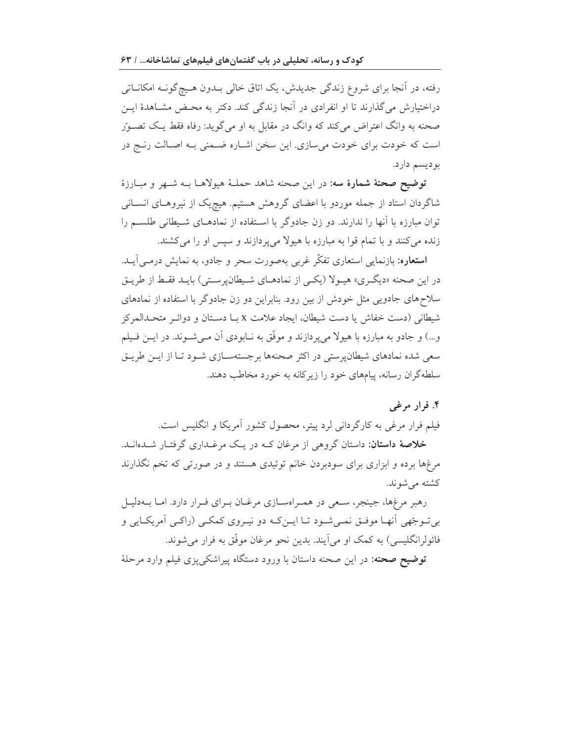رفته، در آنجا برای شروع زندگی جدیدش، یک اتاق خالبی بـدون هـیچ گونـه امکانــاتبی دراختیارش می گذارند تا او انفرادی در آنجا زندگی کند. دکتر به محـض مشـاهدهٔ ایــن صحنه به وانگ اعتراض می کند که وانگ در مقابل به او می گوید: رفاه فقط یـک تصـورّ است که خودت برای خودت می سازی. این سخن اشـاره ضـمنی بـه اصـالت رنـج در بوديسم دارد.

توضیح صحنهٔ شمارهٔ سه: در این صحنه شاهد حملهٔ هیولاهـا بـه شـهر و مبـارزهٔ شاگردان استاد از جمله موردو با اعضای گروهش هستیم. هیچیک از نیروهـای انسـانی توان مبارزه با آنها را ندارند. دو زن جادوگر با استفاده از نمادهـای شـيطانی طلسـم را زنده می کنند و با تمام قوا به مبارزه با هیولا میپردازند و سپس او را می کشند.

**استعاره:** بازنمایی استعاری تفکّر غربی بهصورت سحر و جادو، به نمایش درمـی]یــد. در این صحنه «دیگری» هیـولا (یکـی از نمادهـای شـیطان پرسـتی) بایـد فقـط از طریـق سلاحهای جادویی مثل خودش از بین رود. بنابراین دو زن جادوگر با استفاده از نمادهای شيطاني (دست خفاش يا دست شيطان، ايجاد علامت x بــا دســتان و دوائــر متحــدالمركز و…) و جادو به مبارزه با هیولا می پردازند و موفّق به نــابودی آن مــیشــوند. در ایــن فــیلم سعی شده نمادهای شیطان پرستی در اکثر صحنهها برجستهسـازی شـود تـا از ایـن طریـق سلطهگران رسانه، پیامهای خود را زیرکانه به خورد مخاطب دهند.

۴. فرار مرغبي

فیلم فرار مرغی به کارگردانی لرد پیتر، محصول کشور آمریکا و انگلیس است. خلاصهٔ داستان: داستان گروهی از مرغان کـه در یـک مرغـداری گرفتـار شـدهانـد.

مرغها برده و ابزاری برای سودبردن خانم توئیدی هستند و در صورتی که تخم نگذارند كشته مى شوند.

رهبر مرغها، جینجر، سعی در همراهسازی مرغبان برای فرار دارد. اما بهدلیل بی تـوجّهی آنهـا موفـق نمـی شـود تـا ایــن کـه دو نیــروی کمکـی (راکــی آمریکـایی و فائولرانگلیسی) به کمک او می آیند. بدین نحو مرغان موفّق به فرار می شوند. <mark>توضیح صحنه:</mark> در این صحنه داستان با ورود دستگاه پیراشک<sub>ی</sub> پزی فیلم وارد مرحلهٔ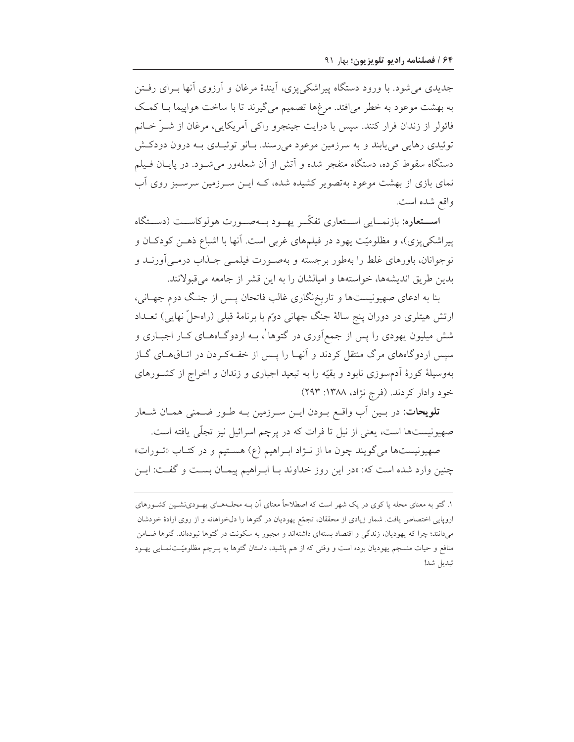جدیدی می شود. با ورود دستگاه پیراشکی یزی، آیندهٔ مرغان و آرزوی آنها به ای رفتن به بهشت موعود به خطر می افتد. مرغها تصمیم می گیرند تا با ساخت هواپیما بـا کمـک فائولر از زندان فرار کنند. سپس با درایت جینجرو راکی آمریکایی، مرغان از شـرٌ خـانم توئيدي رهايي مي پابند و به سرزمين موعود مي رسند. بيانو توئييدي بيه درون دودكش دستگاه سقوط کرده، دستگاه منفجر شده و اّتش از آن شعلهور می شـود. در پایـان فـیلم نمای بازی از بهشت موعود بهتصویر کشیده شده، کــه ایــن ســرزمین سرســبز روی آب واقع شده است.

**استعاره:** بازنمـایی اسـتعاری تفکّـر یهـود بـهصـورت هولوکاسـت (دسـتگاه پیراشکیپزی)، و مظلومیّت یهود در فیلمهای غربی است. آنها با اشباع ذهـن کودکـان و نوجوانان، باورهای غلط را بهطور برجسته و بهصـورت فیلمـی جـذاب درمـی|ورنــد و بدین طریق اندیشهها، خواستهها و امیالشان را به این قشر از جامعه میقبولانند.

بنا به ادعای صهیونیستها و تاریخ نگاری غالب فاتحان پـس از جنـگ دوم جهـانی، ارتش هیتلری در دوران پنج سالهٔ جنگ جهانی دوم با برنامهٔ قبلی (راهحلّ نهایی) تعــداد شش میلیون یهودی را پس از جمع[وری در گتوها ْ، بــه اردوگــاههــای کــار اجبــاری و سپس اردوگاههای مرگ منتقل کردند و آنهـا را پــس از خفـهکـردن در اتــاقهــای گــاز بهوسیلهٔ کورهٔ اَدمسوزی نابود و بقیّه را به تبعید اجباری و زندان و اخراج از کشورهای خود وادار كردند. (فرج نژاد، ۱۳۸۸: ۲۹۳)

**تلويحات**: در بـين اّب واقــع بــودن ايــن ســرزمين بــه طــور ضــمنى همــان شــعار صهیونیستها است، یعنی از نیل تا فرات که در پرچم اسرائیل نیز تجلّی یافته است.

صهيونيستها مي گويند چون ما از نـژاد ابـراهيم (ع) هسـتيم و در كتـاب «تـورات» چنین وارد شده است که: «در این روز خداوند بـا ابـراهیم پیمـان بسـت و گفـت: ایـن

۱. گتو به معنای محله یا کوی در یک شهر است که اصطلاحاً معنای آن بـه محلـههـای یهـودینشـین کشـورهای اروپایی اختصاص یافت. شمار زیادی از محققان، تجمّع یهودیان در گتوها را دلخواهانه و از روی ارادهٔ خودشان میدانند؛ چرا که یهودیان، زندگی و اقتصاد بستهای داشتهاند و مجبور به سکونت در گتوها نبودهاند. گتوها ضــامن منافع و حیات منسجم یهودیان بوده است و وقتی که از هم پاشید، داستان گتوها به پـرچم مظلومیّـتنمـایی یهـود تبديل شد!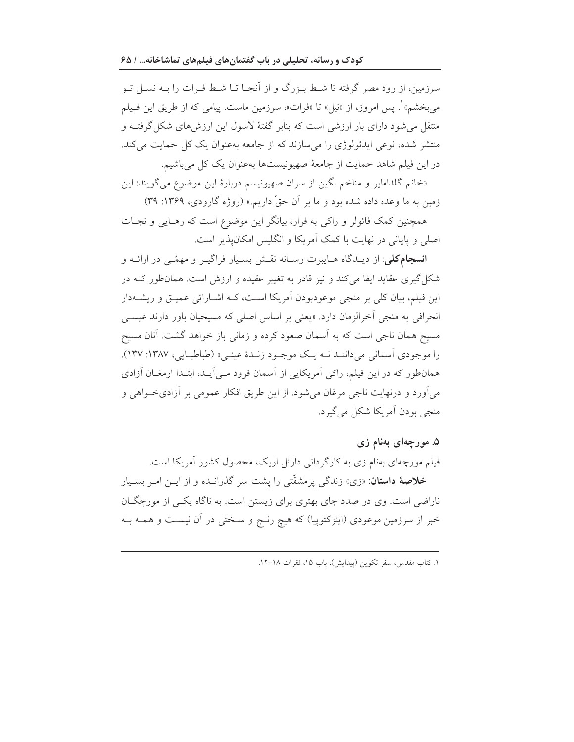سرزمین، از رود مصر گرفته تا شـط بـزرگ و از آنجـا تـا شـط فـرات را بـه نسـل تـو می بخشم» ْ. پس امروز، از «نیل» تا «فرات»، سرزمین ماست. پیامی که از طریق این فـیلم منتقل می شود دارای بار ارزشی است که بنابر گفتهٔ لاسول این ارزش های شکل گرفتــه و منتشر شده، نوعی ایدئولوژی را می سازند که از جامعه بهعنوان یک کل حمایت می کند. در این فیلم شاهد حمایت از جامعهٔ صهیونیستها بهعنوان یک کل میباشیم.

«خانم گلدامایر و مناخم بگین از سران صهیونیسم دربارهٔ این موضوع می گویند: این زمین به ما وعده داده شده بود و ما بر آن حقّ داریم.» (روژه گارودی، ۱۳۶۹: ۳۹)

همچنین کمک فائولر و راکی به فرار، بیانگر این موضوع است که رهـایی و نجـات اصلی و پایانی در نهایت با کمک آمریکا و انگلیس امکان پذیر است.

**انسجام کلی**: از دیـدگاه هـایبرت رسـانه نقـش بسـیار فراگیـر و مهمّـی در ارائــه و شکل گیری عقاید ایفا می کند و نیز قادر به تغییر عقیده و ارزش است. همان $d$ ور کــه در این فیلم، بیان کلی بر منجی موعودبودن آمریکا است، کـه اشـاراتی عمیـق و ریشــهدار انحرافی به منجی آخرالزمان دارد. «یعنی بر اساس اصلی که مسیحیان باور دارند عیســی مسیح همان ناجی است که به آسمان صعود کرده و زمانی باز خواهد گشت. آنان مسیح را موجودي آسماني مي داننـد نــه يـک موجــود زنــدۀ عينــي» (طباطبــايي، ١٣٨٧: ١٣٧). همان طور که در این فیلم، راکی آمریکایی از آسمان فرود مـیآیـد، ابتـدا ارمغـان آزادی میآورد و درنهایت ناجی مرغان میشود. از این طریق افکار عمومی بر آزادیخواهی و منجي بودن آمريکا شکل مي گيرد.

#### ۵. مورچهای بهنام زی

فیلم مورچهای بهنام زی به کارگردانی دارئل اریک، محصول کشور آمریکا است. **خلاصهٔ داستان**: «زی» زندگی پرمشقّتی را پشت سر گذرانــده و از ایــن امــر بســیار ناراضی است. وی در صدد جای بهتری برای زیستن است. به ناگاه یکـی از مورچگـان خبر از سرزمین موعودی (اینزکتوپیا) که هیچ رنـج و سـختی در اَن نیسـت و همــه بــه

١. كتاب مقدس، سفر تكوين (يبدايش)، باب ١۵، فقرات ١٨-١٢.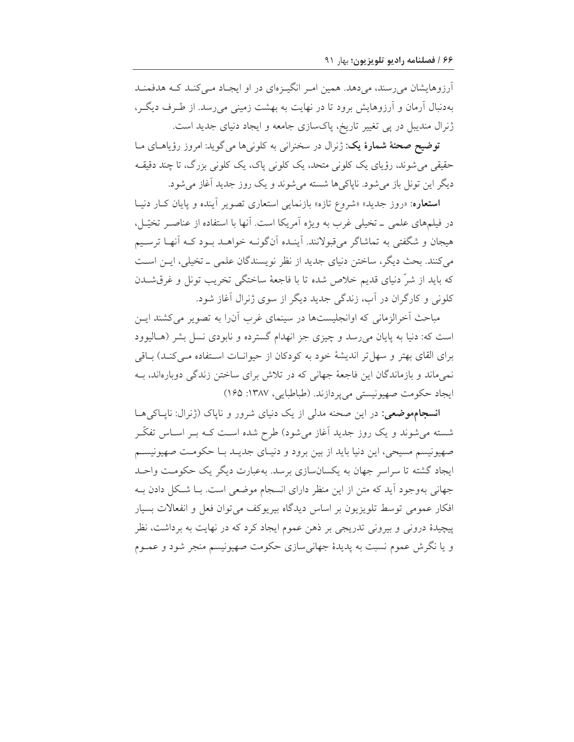آرزوهایشان می رسند، می دهد. همین امـر انگیـزمای در او ایجـاد مـی کنـد کـه هدفمنـد بهدنبال آرمان و آرزوهایش برود تا در نهایت به بهشت زمینی می رسد. از طـرف دیگـر، ژنرال مندیبل در پی تغییر تاریخ، پاکسازی جامعه و ایجاد دنیای جدید است.

توضیح صحنهٔ شمارهٔ یک: ژنرال در سخنرانی به کلونیها می گوید: امروز رؤیاهای مـا حقیقی می شوند، رؤیای یک کلونی متحد، یک کلونی پاک، یک کلونی بزرگ، تا چند دقیقـه دیگر این تونل باز می شود. ناپاکی ها شسته می شوند و یک روز جدید آغاز می شود.

استعاره: «روز جدید» «شروع تازه» بازنمایی استعاری تصویر آینده و پایان کبار دنیبا در فیلمهای علمی \_ تخیلی غرب به ویژه آمریکا است. آنها با استفاده از عناصـر تخیّــل، هیجان و شگفتی به تماشاگر میقبولانند. آینـده آنگونــه خواهــد بــود کــه آنهـا ترسـیم می کنند. بحث دیگر، ساختن دنیای جدید از نظر نویسندگان علمی ـ تخیلی، ایـن اسـت كه بايد از شرّ دنياي قديم خلاص شده تا با فاجعهٔ ساختگي تخريب تونل و غرقشـدن کلونی و کارگران در آب، زندگی جدید دیگر از سوی ژنرال آغاز شود.

مباحث آخرالزمانی که اوانجلیستها در سینمای غرب آن(را به تصویر میکشند ایـن است که: دنیا به پایان میرسد و چیزی جز انهدام گسترده و نابودی نسل بشر (هـالیوود برای القای بهتر و سهل تر اندیشهٔ خود به کودکان از حیوانیات استفاده مبی کنید) بیاقی نمی ماند و بازماندگان این فاجعهٔ جهانی که در تلاش برای ساختن زندگی دوبارهاند، بـه ايجاد حكومت صهيونيستي مي پردازند. (طباطبايي، ١٣٨٧: ١۶۵)

انسجامهوضعی: در این صحنه مدلی از یک دنیای شرور و ناپاک (ژنرال: ناپاکی ها شسته میشوند و یک روز جدید آغاز میشود) طرح شده است کـه بـر اسـاس تفکّـر صهیونیسم مسیحی، این دنیا باید از بین برود و دنیـای جدیـد بـا حکومـت صهیونیسـم ایجاد گشته تا سراسر جهان به یکسانسازی برسد. بهعبارت دیگر یک حکومت واحـد جهانی بهوجود آید که متن از این منظر دارای انسجام موضعی است. بـا شـکل دادن بـه افکار عمومی توسط تلویزیون بر اساس دیدگاه بیریوکف میتوان فعل و انفعالات بسیار پیچیدهٔ درونی و بیرونی تدریجی بر ذهن عموم ایجاد کرد که در نهایت به برداشت، نظر و یا نگرش عموم نسبت به پدیدهٔ جهانی سازی حکومت صهیونیسم منجر شود و عمــوم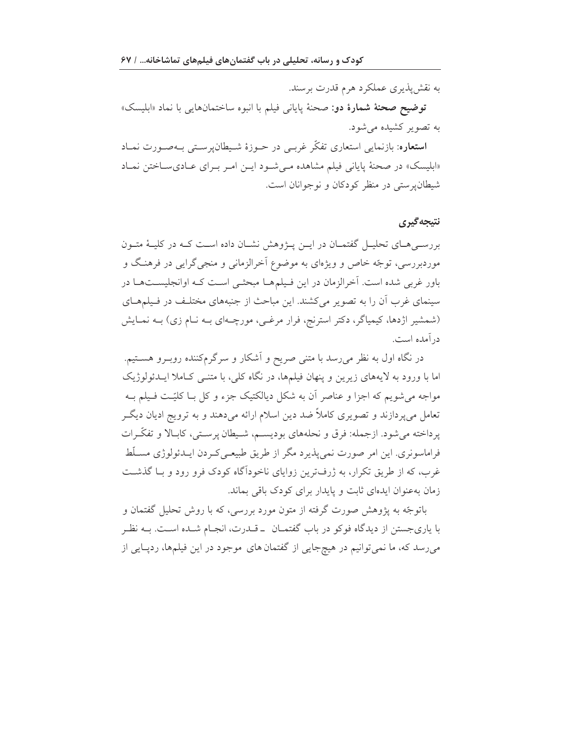به نقش پذیری عملکرد هرم قدرت برسند.

توضيح صحنة شمارة دو: صحنة پايان<sub>ی</sub> فيلم با انبوه ساختمانهاي<sub>ی</sub> با نماد «ابليسک» به تصویر کشیده می شود.

**استعاره**: بازنمایی استعاری تفکّر غربـی در حــوزهٔ شــیطان،پرســتی بــهصــورت نمــاد «ابلیسک» در صحنهٔ پایانی فیلم مشاهده مـی شـود ایـن امـر بـرای عـادیسـاختن نمـاد شیطان پرستی در منظر کودکان و نوجوانان است.

### نتيجه گيري

بررستی هسای تحلیس گفتمسان در ایس پیژوهش نشسان داده است کسه در کلیسهٔ متسون موردبررسی، توجّه خاص و ویژهای به موضوع آخرالزمانی و منجیگرایی در فرهنگ و باور غربی شده است. آخرالزمان در این فـیلمهـا مبحثـی اسـت کـه اوانجلیسـتهـا در سینمای غرب آن را به تصویر میکشند. این مباحث از جنبههای مختلف در فیلمهای (شمشیر اژدها، کیمیاگر، دکتر استرنج، فرار مرغبی، مورچـهای بـه نـام زی) بـه نمـایش در آمده است.

در نگاه اول به نظر میرسد با متنی صریح و آشکار و سرگرمکننده روبـرو هســتیم. اما با ورود به لایههای زیرین و پنهان فیلمها، در نگاه کلی، با متنــی کــاملا ایــدئولوژیک مواجه می شویم که اجزا و عناصر آن به شکل دیالکتیک جزء و کل بــا کلیّــت فــیلم بــه تعامل میپردازند و تصویری کاملاً ضد دین اسلام ارائه میدهند و به ترویج ادیان دیگـر يرداخته مي شود. ازجمله: فرق و نحلههاي بوديسـم، شـيطان پرسـتي، كابـالا و تفكّـرات فراماسونري. اين امر صورت نمي پذيرد مگر از طريق طبيعـي كـردن ايــدئولوژي مســلّط غرب، که از طریق تکرار، به ژرفترین زوایای ناخودآگاه کودک فرو رود و بـا گذشـت زمان به عنوان ایدهای ثابت و پایدار برای کودک باقی بماند.

باتوجّه به یژوهش صورت گرفته از متون مورد بررسی، که با روش تحلیل گفتمان و با یاریجستن از دیدگاه فوکو در باب گفتمـان \_قـدرت، انجـام شـده اسـت. بــه نظـر میرسد که، ما نمیتوانیم در هیچجایی از گفتمان های موجود در این فیلمها، ردپایی از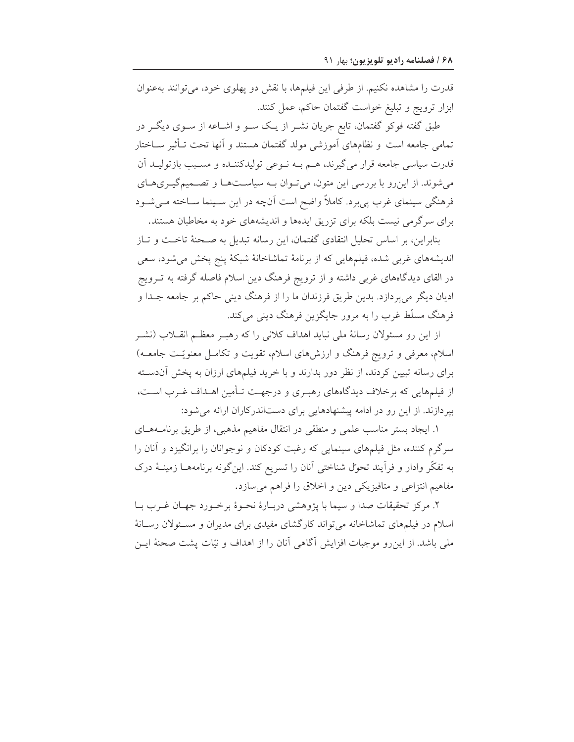قدرت را مشاهده نكنيم. از طرفي اين فيلمها، با نقش دو يهلوي خود، مي توانند بهعنوان ابزار ترويج و تبليغ خواست گفتمان حاكم، عمل كنند.

طبق گفته فوکو گفتمان، تابع جریان نشـر از یـک سـو و اشـاعه از سـوی دیگـر در تمامی جامعه است و نظامهای آموزشی مولد گفتمان هستند و آنها تحت تـأثیر ســاختار قدرت سیاسی جامعه قرار میگیرند، هـم بــه نــوعی تولیدکننــده و مســبب بازتولیــد آن می شوند. از این رو با بر رسی این متون، می تـوان بـه سیاسـتهـا و تصـمیم گیـریهـای فرهنگی سینمای غرب پی برد. کاملاً واضح است آنچه در این سـینما ســاخته مــیشــود برای سرگرمی نیست بلکه برای تزریق ایدهها و اندیشههای خود به مخاطبان هستند.

بنابراین، بر اساس تحلیل انتقادی گفتمان، این رسانه تبدیل به صـحنهٔ تاخـت و تـاز اندیشههای غربی شده، فیلمهایی که از برنامهٔ تماشاخانهٔ شبکهٔ پنج پخش میشود، سعی در القای دیدگاههای غربی داشته و از ترویج فرهنگ دین اسلام فاصله گرفته به تــرویج ادیان دیگر میپردازد. بدین طریق فرزندان ما را از فرهنگ دینی حاکم بر جامعه جـدا و فرهنگ مسلّط غرب را به مرور جایگزین فرهنگ دینی می کند.

از این رو مسئولان رسانهٔ ملی نباید اهداف کلانی را که رهبـر معظـم انقــلاب (نشــر اسلام، معرفی و ترویج فرهنگ و ارزشهای اسلام، تقویت و تکامـل معنویّـت جامعـه) برای رسانه تبیین کردند، از نظر دور بدارند و با خرید فیلمهای ارزان به پخش آندسته از فیلمهایی که برخلاف دیدگاههای رهبـری و درجهـت تـأمین اهـداف غـرب اسـت، بپردازند. از این رو در ادامه پیشنهادهایی برای دستاندرکاران ارائه می شود:

۱. ایجاد بستر مناسب علمی و منطقی در انتقال مفاهیم مذهبی، از طریق برنامـههـای سرگرم کننده، مثل فیلمهای سینمایی که رغبت کودکان و نوجوانان را برانگیزد و آنان را به تفکّر وادار و فراّیند تحوّل شناختی آنان را تسریع کند. اینگونه برنامههــا زمینــهٔ درک مفاهیم انتزاعی و متافیزیکی دین و اخلاق را فراهم می سازد.

٢. مركز تحقيقات صدا و سيما با پژوهشي دربـارهٔ نحـوهٔ برخـورد جهـان غـرب بـا اسلام در فیلمهای تماشاخانه میتواند کارگشای مفیدی برای مدیران و مسئولان رسانهٔ ملی باشد. از این رو موجبات افزایش آگاهی آنان را از اهداف و نیّات پشت صحنهٔ ایـن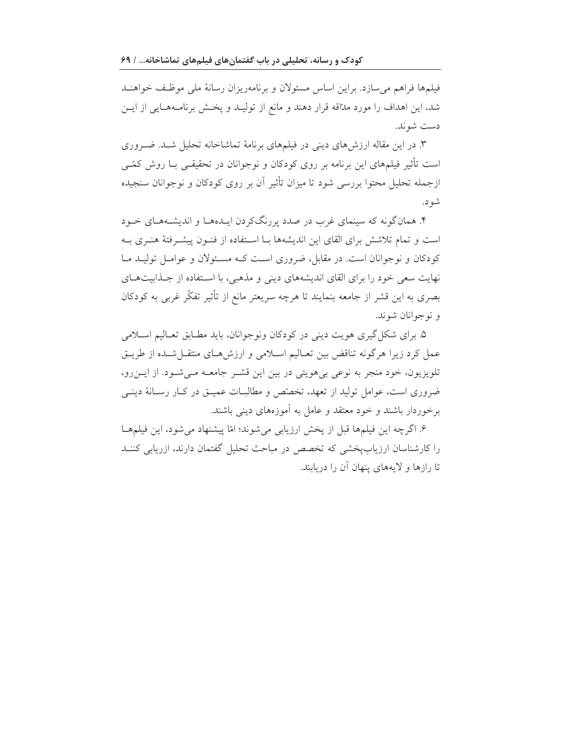فیلمها فراهم می سازد. براین اساس مسئولان و برنامهریزان رسانهٔ ملی موظّف خواهنـد شد، این اهداف را مورد مدّاقه قرار دهند و مانع از تولیـد و پخـش برنامـههـایی از ایـن دست شوند.

۳. در این مقاله ارزش های دینی در فیلمهای برنامهٔ تماشاخانه تحلیل شـد. ضـروری است تأثیر فیلمهای این برنامه بر روی کودکان و نوجوانان در تحقیقـی بــا روش کمّــی ازجمله تحلیل محتوا بررسی شود تا میزان تأثیر آن بر روی کودکان و نوجوانان سنجیده شو د.

۴. همانگونه که سینمای غرب در صدد پررنگکردن ایـدهمـا و اندیشـههـای خــود است و تمام تلاشش برای القای این اندیشهها بـا اسـتفاده از فنـون پیشـرفتهٔ هنـری بـه کودکان و نوجوانان است. در مقابل، ضروری است کـه مسـئولان و عوامـل توليـد مـا نهایت سعی خود را برای القای اندیشههای دینی و مذهبی، با استفاده از جـذابیتهـای بصری به این قشر از جامعه بنمایند تا هرچه سریعتر مانع از تأثیر تفکّر غربی به کودکان و نو جوانان شوند.

۵. برای شکل گیری هویت دینی در کودکان ونوجوانان، باید مطـابق تعـالیم اسـلامی عمل کرد زیرا هرگونه تناقض بین تعـالیم اسـلامی و ارزشهـای منتقـل شـده از طریـق تلویزیون، خود منجر به نوعی بیهویتی در بین این قشـر جامعـه مـیشـود. از ایـن٫رو، ضروری است، عوامل تولید از تعهد، تخصّص و مطالبــات عمیــق در کــار رســانهٔ دینــی برخوردار باشند و خود معتقد و عامل به آموزههای دینی باشند.

۶. اگرچه این فیلمها قبل از پخش ارزیابی می شوند؛ امّا پیشنهاد می شود، این فیلمهـا را کارشناسان ارزیابیخشی که تخصص در مباحث تحلیل گفتمان دارند، ازریابی کننـد تا رازها و لايههاي پنهان آن را دريابند.